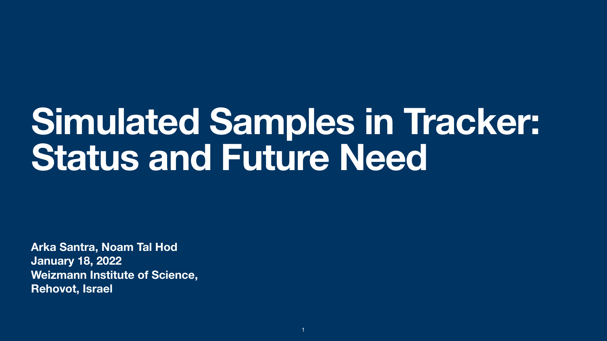**Arka Santra, Noam Tal Hod January 18, 2022 Weizmann Institute of Science, Rehovot, Israel**

# **Simulated Samples in Tracker: Status and Future Need**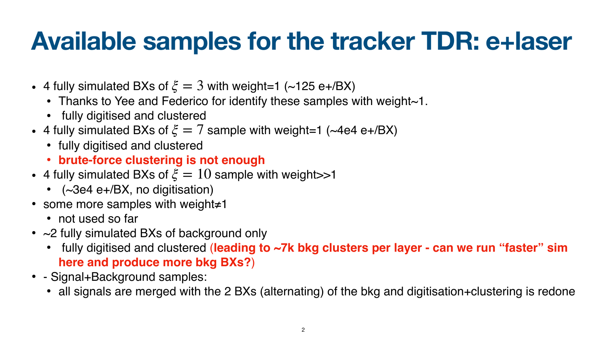## **Available samples for the tracker TDR: e+laser**

- 4 fully simulated BXs of  $\xi = 3$  with weight=1 (~125 e+/BX)
	- Thanks to Yee and Federico for identify these samples with weight~1.
	- fully digitised and clustered
- 4 fully simulated BXs of  $\xi = 7$  sample with weight=1 (~4e4 e+/BX)
	- fully digitised and clustered
	- **brute-force clustering is not enough**
- 4 fully simulated BXs of  $\xi = 10$  sample with weight >>1
	- (~3e4 e+/BX, no digitisation)
- some more samples with weight≠1
	- not used so far
- ~2 fully simulated BXs of background only
	- **here and produce more bkg BXs?**)
- - Signal+Background samples:
	-

#### **•** fully digitised and clustered (**leading to ~7k bkg clusters per layer - can we run "faster" sim**

• all signals are merged with the 2 BXs (alternating) of the bkg and digitisation+clustering is redone

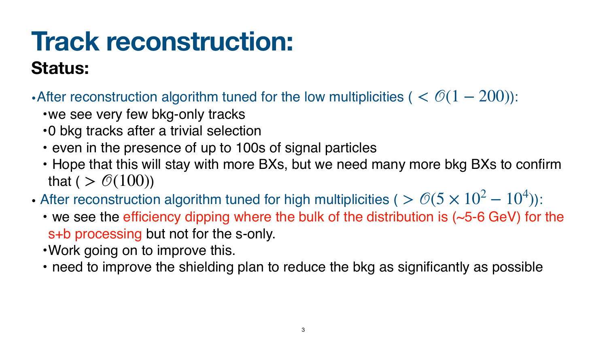### **Track reconstruction: Status:**

- After reconstruction algorithm tuned for the low multiplicities (  $< \mathcal{O}(1 200)$ ):
	- •we see very few bkg-only tracks
	- •0 bkg tracks after a trivial selection
	- even in the presence of up to 100s of signal particles • Hope that this will stay with more BXs, but we need many more bkg BXs to confirm
	- that (  $> \mathcal{O}(100)$ )
- After reconstruction algorithm tuned for high multiplicities (  $> \mathcal{O}(5 \times 10^2 10^4)$ ): • we see the efficiency dipping where the bulk of the distribution is (~5-6 GeV) for the
	- s+b processing but not for the s-only.
	- •Work going on to improve this.
	- need to improve the shielding plan to reduce the bkg as significantly as possible

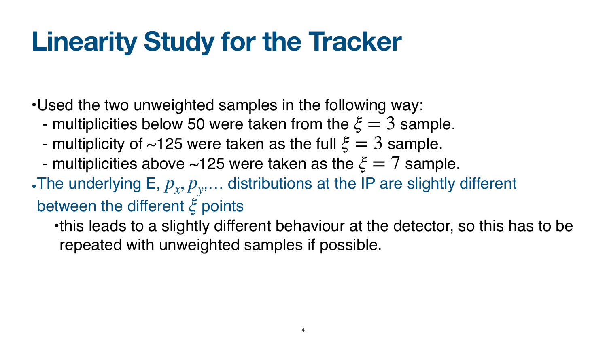# **Linearity Study for the Tracker**

•Used the two unweighted samples in the following way: - multiplicities below 50 were taken from the  $\xi = 3$  sample. - multiplicity of  $\sim$ 125 were taken as the full  $\xi = 3$  sample.

- multiplicities above  $\sim$ 125 were taken as the  $\xi = 7$  sample.
- The underlying E,  $p_x, p_y, \ldots$  distributions at the IP are slightly different

between the different ξ points

•this leads to a slightly different behaviour at the detector, so this has to be

repeated with unweighted samples if possible.

- 
- 
-